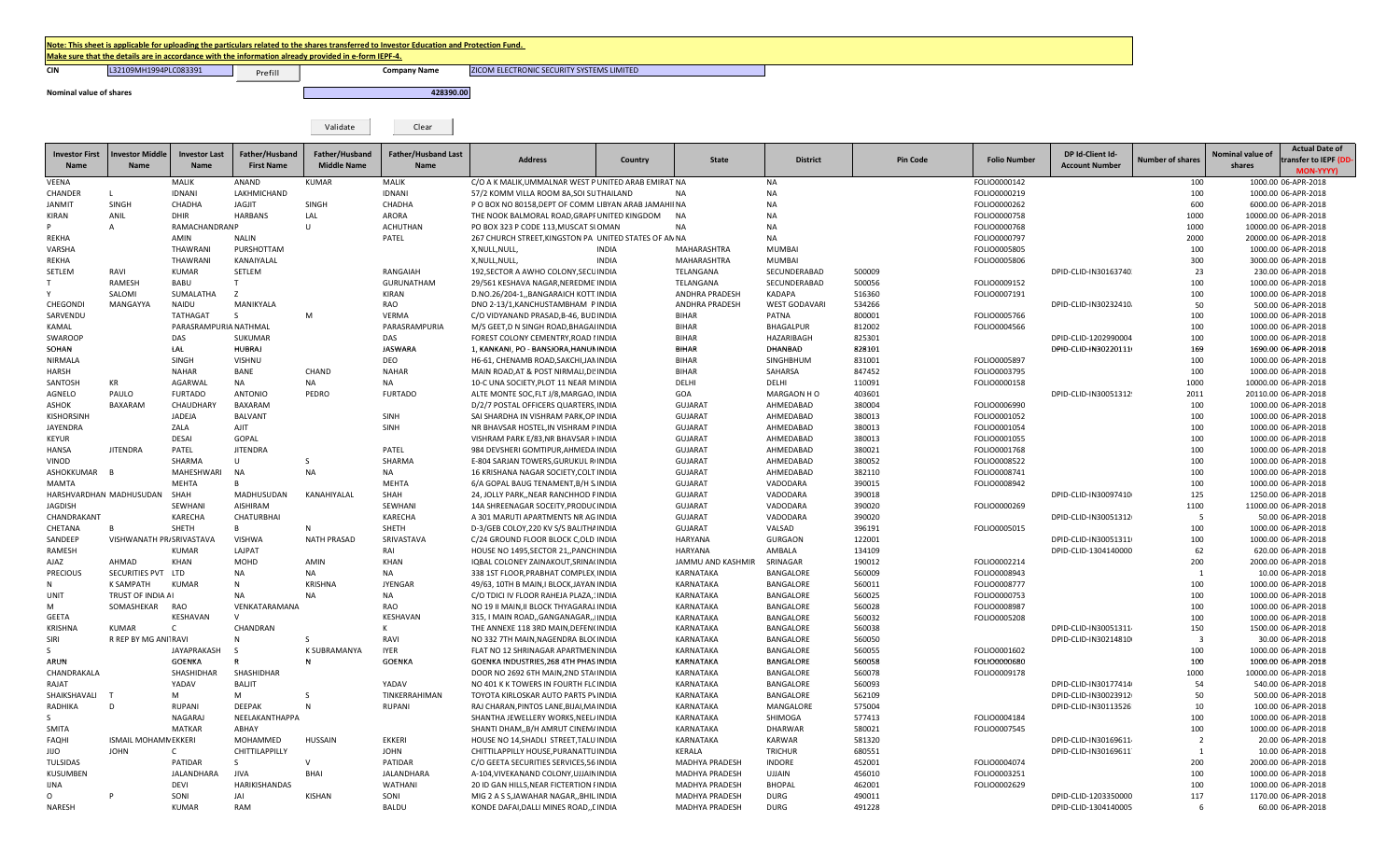## Note: This sheet is applicable for uploading the particulars related to the shares transferred to Investor Education and Protection Fund.

Prefill

Make sure that the details are in accordance with the information already provided in e-form IEPF-4.

**CIN CIN COMPANYIES 122109MH1994PLC083391 COMPANYIES Prefill COMPANY RAME** 

Validate Clear

ZICOM ELECTRONIC SECURITY SYSTEMS LIMITED

**Nominal value of shares 428390.00**

| <b>Investor First</b><br><b>Name</b> | <b>Investor Middle</b><br><b>Name</b> | <b>Investor Last</b><br>Name | Father/Husband<br><b>First Name</b> | Father/Husband<br><b>Middle Name</b> | <b>Father/Husband Last</b><br>Name | <b>Address</b>                                                                                        | Country      | <b>State</b>           | <b>District</b>          | <b>Pin Code</b>  | <b>Folio Number</b>          | DP Id-Client Id-<br><b>Account Number</b> | <b>Number of shares</b> | Nominal value of<br>shares | <b>Actual Date of</b><br>ransfer to IEPF (DD |
|--------------------------------------|---------------------------------------|------------------------------|-------------------------------------|--------------------------------------|------------------------------------|-------------------------------------------------------------------------------------------------------|--------------|------------------------|--------------------------|------------------|------------------------------|-------------------------------------------|-------------------------|----------------------------|----------------------------------------------|
|                                      |                                       |                              |                                     |                                      |                                    |                                                                                                       |              |                        |                          |                  |                              |                                           |                         |                            | <b>MON-YYYY</b>                              |
| <b>VEENA</b>                         |                                       | <b>MALIK</b>                 | ANAND                               | <b>KUMAR</b>                         | MALIK                              | C/O A K MALIK, UMMALNAR WEST P UNITED ARAB EMIRAT NA                                                  |              |                        | NA                       |                  | FOLIO0000142                 |                                           | 100                     |                            | 1000.00 06-APR-2018                          |
| CHANDER<br><b>ANMIT</b>              | -1<br>SINGH                           | <b>IDNANI</b><br>CHADHA      | LAKHMICHAND<br><b>JAGJIT</b>        | SINGH                                | <b>IDNANI</b><br>CHADHA            | 57/2 KOMM VILLA ROOM 8A, SOI SUTHAILAND                                                               |              | <b>NA</b>              | <b>NA</b><br><b>NA</b>   |                  | FOLIO0000219<br>FOLIO0000262 |                                           | 100<br>600              |                            | 1000.00 06-APR-2018<br>6000.00 06-APR-2018   |
| KIRAN                                | ANIL                                  | DHIR                         | <b>HARBANS</b>                      | LAL                                  | ARORA                              | P O BOX NO 80158, DEPT OF COMM LIBYAN ARAB JAMAHII NA<br>THE NOOK BALMORAL ROAD, GRAPF UNITED KINGDOM |              | NA                     | <b>NA</b>                |                  | FOLIO0000758                 |                                           | 1000                    |                            | 10000.00 06-APR-2018                         |
|                                      | $\overline{A}$                        | <b>RAMACHANDRANP</b>         |                                     | U                                    | <b>ACHUTHAN</b>                    | PO BOX 323 P CODE 113, MUSCAT SI OMAN                                                                 |              | <b>NA</b>              | <b>NA</b>                |                  | FOLIO0000768                 |                                           | 1000                    |                            | 10000.00 06-APR-2018                         |
| REKHA                                |                                       | AMIN                         | <b>NALIN</b>                        |                                      | PATEL                              | 267 CHURCH STREET, KINGSTON PA UNITED STATES OF AN NA                                                 |              |                        | NA                       |                  | FOLIO0000797                 |                                           | 2000                    |                            | 20000.00 06-APR-2018                         |
| <b>/ARSHA</b>                        |                                       | THAWRANI                     | PURSHOTTAM                          |                                      |                                    | X, NULL, NULL,                                                                                        | <b>INDIA</b> | MAHARASHTRA            | MUMBAI                   |                  | FOLIO0005805                 |                                           | 100                     |                            | 1000.00 06-APR-2018                          |
| REKHA                                |                                       | THAWRANI                     | KANAIYALAL                          |                                      |                                    | X, NULL, NULL,                                                                                        | <b>INDIA</b> | MAHARASHTRA            | <b>MUMBAI</b>            |                  | FOLIO0005806                 |                                           | 300                     |                            | 3000.00 06-APR-2018                          |
| SETLEM                               | RAVI                                  | <b>KUMAR</b>                 | SETLEM                              |                                      | RANGAIAH                           | 192, SECTOR A AWHO COLONY, SECUINDIA                                                                  |              | TELANGANA              | SECUNDERABAD             | 500009           |                              | DPID-CLID-IN30163740.                     | 23                      |                            | 230.00 06-APR-2018                           |
|                                      | RAMESH                                | <b>BABU</b>                  | T.                                  |                                      | GURUNATHAM                         | 29/561 KESHAVA NAGAR, NEREDME INDIA                                                                   |              | TELANGANA              | SECUNDERABAD             | 500056           | FOLIO0009152                 |                                           | 100                     |                            | 1000.00 06-APR-2018                          |
|                                      | SALOMI                                | SUMALATHA                    | z                                   |                                      | <b>KIRAN</b>                       | D.NO.26/204-1,, BANGARAICH KOTT INDIA                                                                 |              | ANDHRA PRADESH         | KADAPA                   | 516360           | FOLIO0007191                 |                                           | 100                     |                            | 1000.00 06-APR-2018                          |
| CHEGONDI                             | MANGAYYA                              | NAIDU                        | MANIKYALA                           |                                      | RAO                                | DNO 2-13/1, KANCHUSTAMBHAM P INDIA                                                                    |              | ANDHRA PRADESH         | <b>WEST GODAVARI</b>     | 534266           |                              | DPID-CLID-IN30232410-                     | 50                      |                            | 500.00 06-APR-2018                           |
| SARVENDU                             |                                       | TATHAGAT                     | S.                                  | M                                    | <b>VERMA</b>                       | C/O VIDYANAND PRASAD, B-46, BUD INDIA                                                                 |              | <b>BIHAR</b>           | PATNA                    | 800001           | FOLIO0005766                 |                                           | 100                     |                            | 1000.00 06-APR-2018                          |
| KAMAL                                |                                       | PARASRAMPURIA NATHMAL        |                                     |                                      | PARASRAMPURIA                      | M/S GEET, D N SINGH ROAD, BHAGAI INDIA                                                                |              | <b>BIHAR</b>           | BHAGALPUR                | 812002           | FOLIO0004566                 |                                           | 100                     |                            | 1000.00 06-APR-2018                          |
| <b>SWAROOP</b>                       |                                       | DAS                          | <b>SUKUMAR</b>                      |                                      | DAS                                | FOREST COLONY CEMENTRY, ROAD I INDIA                                                                  |              | <b>BIHAR</b>           | HAZARIBAGH               | 825301           |                              | DPID-CLID-1202990004                      | 100                     |                            | 1000.00 06-APR-2018                          |
| SOHAN                                |                                       | LAL                          | <b>HUBRAJ</b>                       |                                      | <b>JASWARA</b>                     | 1, KANKANI, PO - BANSJORA, HANUN INDIA                                                                |              | <b>BIHAR</b>           | DHANBAD                  | 828101           |                              | DPID-CLID-IN30220111                      | 169                     |                            | 1690.00 06-APR-2018                          |
| NIRMALA                              |                                       | <b>SINGH</b>                 | <b>VISHNU</b>                       |                                      | DEO                                | H6-61, CHENAMB ROAD, SAKCHI, JAN INDIA                                                                |              | <b>BIHAR</b>           | SINGHBHUM                | 831001           | FOLIO0005897                 |                                           | 100                     |                            | 1000.00 06-APR-2018                          |
| HARSH                                |                                       | <b>NAHAR</b>                 | BANE                                | CHAND                                | <b>NAHAR</b>                       | MAIN ROAD, AT & POST NIRMALI, DI! INDIA                                                               |              | <b>BIHAR</b>           | SAHARSA                  | 847452           | FOLIO0003795                 |                                           | 100                     |                            | 1000.00 06-APR-2018                          |
| SANTOSH                              | KR                                    | AGARWAL                      | NA                                  | NA                                   | <b>NA</b>                          | 10-C UNA SOCIETY, PLOT 11 NEAR MINDIA                                                                 |              | DELHI                  | DELHI                    | 110091           | FOLIO0000158                 |                                           | 1000                    |                            | 10000.00 06-APR-2018                         |
| AGNELO                               | PAULO                                 | <b>FURTADO</b>               | <b>ANTONIO</b>                      | PEDRO                                | <b>FURTADO</b>                     | ALTE MONTE SOC, FLT J/8, MARGAO, INDIA                                                                |              | GOA                    | MARGAON HO               | 403601           |                              | DPID-CLID-IN30051312!                     | 2011                    |                            | 20110.00 06-APR-2018                         |
| ASHOK                                | BAXARAM                               | CHAUDHARY                    | BAXARAM                             |                                      |                                    | D/2/7 POSTAL OFFICERS QUARTERS, INDIA                                                                 |              | <b>GUJARAT</b>         | AHMEDABAD                | 380004           | FOLIO0006990                 |                                           | 100                     |                            | 1000.00 06-APR-2018                          |
| <b>KISHORSINH</b>                    |                                       | JADEJA                       | <b>BALVANT</b>                      |                                      | SINH                               | SAI SHARDHA IN VISHRAM PARK, OP INDIA                                                                 |              | <b>GUJARAT</b>         | AHMEDABAD                | 380013           | FOLIO0001052                 |                                           | 100                     |                            | 1000.00 06-APR-2018                          |
| <b>JAYENDRA</b>                      |                                       | ZALA                         | <b>AJIT</b>                         |                                      | <b>SINH</b>                        | NR BHAVSAR HOSTEL, IN VISHRAM PINDIA                                                                  |              | <b>GUJARAT</b>         | AHMEDABAD                | 380013           | FOLIO0001054                 |                                           | 100                     |                            | 1000.00 06-APR-2018                          |
| KEYUR                                |                                       | <b>DESAI</b>                 | GOPAL                               |                                      |                                    | VISHRAM PARK E/83, NR BHAVSAR FINDIA                                                                  |              | <b>GUJARAT</b>         | AHMEDABAD                | 380013           | FOLIO0001055                 |                                           | 100                     |                            | 1000.00 06-APR-2018                          |
| HANSA                                | <b>JITENDRA</b>                       | PATEL                        | <b>JITENDRA</b>                     |                                      | PATEL                              | 984 DEVSHERI GOMTIPUR, AHMEDA INDIA                                                                   |              | <b>GUJARAT</b>         | AHMEDABAD                | 380021           | FOLIO0001768                 |                                           | 100                     |                            | 1000.00 06-APR-2018                          |
| VINOD                                |                                       | SHARMA                       | U                                   | S                                    | SHARMA                             | E-804 SARJAN TOWERS, GURUKUL RIINDIA                                                                  |              | <b>GUJARAT</b>         | AHMEDABAD                | 380052           | FOLIO0008522                 |                                           | 100                     |                            | 1000.00 06-APR-2018                          |
| ASHOKKUMAR                           |                                       | MAHESHWARI                   | NA                                  | NA                                   | NA                                 | 16 KRISHANA NAGAR SOCIETY, COLT INDIA                                                                 |              | <b>GUJARAT</b>         | AHMEDABAD                | 382110           | FOLIO0008741                 |                                           | 100                     |                            | 1000.00 06-APR-2018                          |
| MAMTA                                |                                       | MEHTA                        |                                     |                                      | MEHTA                              | 6/A GOPAL BAUG TENAMENT, B/H S. INDIA                                                                 |              | <b>GUJARAT</b>         | VADODARA                 | 390015           | FOLIO0008942                 |                                           | 100                     |                            | 1000.00 06-APR-2018                          |
| HARSHVARDHAN MADHUSUDAN              |                                       | SHAH                         | MADHUSUDAN                          | KANAHIYALAL                          | SHAH                               | 24, JOLLY PARK,, NEAR RANCHHOD FINDIA                                                                 |              | <b>GUJARAT</b>         | VADODARA                 | 390018           |                              | DPID-CLID-IN30097410                      | 125                     |                            | 1250.00 06-APR-2018                          |
| <b>JAGDISH</b>                       |                                       | SEWHANI                      | AISHIRAM                            |                                      | SEWHANI                            | 14A SHREENAGAR SOCEITY, PRODUC INDIA                                                                  |              | <b>GUJARAT</b>         | VADODARA                 | 390020           | FOLIO0000269                 |                                           | 1100                    |                            | 11000.00 06-APR-2018                         |
| CHANDRAKANT                          |                                       | KARECHA                      | <b>CHATURBHAI</b>                   |                                      | KARECHA                            | A 301 MARUTI APARTMENTS NR AG INDIA                                                                   |              | <b>GUJARAT</b>         | VADODARA                 | 390020           |                              | DPID-CLID-IN30051312                      | 5                       |                            | 50.00 06-APR-2018                            |
| CHETANA                              |                                       | SHETH                        | R                                   | N                                    | SHETH                              | D-3/GEB COLOY, 220 KV S/S BALITHA INDIA                                                               |              | <b>GUJARAT</b>         | VALSAD                   | 396191           | FOLIO0005015                 |                                           | 100                     |                            | 1000.00 06-APR-2018                          |
| SANDEEP                              | VISHWANATH PR/SRIVASTAVA              |                              | VISHWA                              | <b>NATH PRASAD</b>                   | SRIVASTAVA                         | C/24 GROUND FLOOR BLOCK C.OLD INDIA                                                                   |              | <b>HARYANA</b>         | <b>GURGAON</b>           | 122001           |                              | DPID-CLID-IN30051311                      | 100                     |                            | 1000.00 06-APR-2018                          |
| RAMESH                               |                                       | <b>KUMAR</b>                 | LAJPAT                              |                                      | RAI                                | HOUSE NO 1495, SECTOR 21, PANCHINDIA                                                                  |              | HARYANA                | AMBALA                   | 134109           |                              | DPID-CLID-1304140000                      | 62                      |                            | 620.00 06-APR-2018                           |
| AJAZ                                 | AHMAD                                 | KHAN                         | MOHD                                | AMIN                                 | <b>KHAN</b>                        | IQBAL COLONEY ZAINAKOUT, SRINA(INDIA                                                                  |              | JAMMU AND KASHMIR      | SRINAGAR                 | 190012           | FOLIO0002214                 |                                           | 200                     |                            | 2000.00 06-APR-2018                          |
| PRECIOUS                             | SECURITIES PVT                        | LTD                          | ΝA                                  | <b>NA</b>                            | NA                                 | 338 1ST FLOOR, PRABHAT COMPLEX INDIA                                                                  |              | KARNATAKA              | BANGALORE                | 560009           | FOLIO0008943                 |                                           | 1                       |                            | 10.00 06-APR-2018                            |
|                                      | K SAMPATH                             | <b>KUMAR</b>                 | N                                   | <b>KRISHNA</b>                       | <b>JYENGAR</b>                     | 49/63, 10TH B MAIN, I BLOCK, JAYAN INDIA                                                              |              | KARNATAKA              | BANGALORE                | 560011           | FOLIO0008777                 |                                           | 100                     |                            | 1000.00 06-APR-2018                          |
| JNIT                                 | TRUST OF INDIA AI                     |                              | <b>NA</b>                           | NA                                   | <b>NA</b>                          | C/O TDICI IV FLOOR RAHEJA PLAZA,1INDIA                                                                |              | KARNATAKA              | BANGALORE                | 560025           | FOLIO0000753                 |                                           | 100                     |                            | 1000.00 06-APR-2018                          |
|                                      | SOMASHEKAR                            | <b>RAO</b>                   | VENKATARAMANA                       |                                      | RAO                                | NO 19 II MAIN, II BLOCK THYAGARAJ INDIA                                                               |              | KARNATAKA              | BANGALORE                | 560028           | FOLIO0008987                 |                                           | 100                     |                            | 1000.00 06-APR-2018                          |
| <b>GEETA</b>                         |                                       | KESHAVAN                     | $\mathsf{V}$                        |                                      | KESHAVAN                           | 315, I MAIN ROAD,, GANGANAGAR,, IINDIA                                                                |              | KARNATAKA              | <b>BANGALORE</b>         | 560032           | FOLIO0005208                 |                                           | 100                     |                            | 1000.00 06-APR-2018                          |
| <b>KRISHNA</b>                       | <b>KUMAR</b>                          | $\mathsf{C}$                 | CHANDRAN                            |                                      | К                                  | THE ANNEXE 118 3RD MAIN, DEFEN(INDIA                                                                  |              | KARNATAKA              | <b>BANGALORE</b>         | 560038           |                              | DPID-CLID-IN30051311                      | 150                     |                            | 1500.00 06-APR-2018                          |
| Siri                                 | R REP BY MG ANITRAVI                  |                              | N                                   | <sub>S</sub>                         | RAVI                               | NO 332 7TH MAIN, NAGENDRA BLO(INDIA                                                                   |              | KARNATAKA              | <b>BANGALORE</b>         | 560050           |                              | DPID-CLID-IN30214810                      | $\overline{3}$          |                            | 30.00 06-APR-2018                            |
|                                      |                                       | JAYAPRAKASH                  | $\mathsf{S}$                        | K SUBRAMANYA                         | <b>IYER</b>                        | FLAT NO 12 SHRINAGAR APARTMENINDIA                                                                    |              | KARNATAKA              | <b>BANGALORE</b>         | 560055           | FOLIO0001602                 |                                           | 100                     |                            | 1000.00 06-APR-2018                          |
| ARUN                                 |                                       | <b>GOENKA</b>                |                                     | N                                    | <b>GOENKA</b>                      | GOENKA INDUSTRIES, 268 4TH PHAS INDIA                                                                 |              | KARNATAKA              | <b>BANGALORE</b>         | 560058           | FOLIO0000680                 |                                           | 100                     |                            | 1000.00 06-APR-2018                          |
| CHANDRAKALA                          |                                       | SHASHIDHAR                   | SHASHIDHAR                          |                                      |                                    | DOOR NO 2692 6TH MAIN, 2ND STAINDIA                                                                   |              | KARNATAKA              | BANGALORE                | 560078           | FOLIO0009178                 |                                           | 1000                    |                            | 10000.00 06-APR-2018                         |
| RAJAT                                |                                       | YADAV                        | <b>BALJIT</b>                       |                                      | YADAV                              | NO 401 K K TOWERS IN FOURTH FLC INDIA                                                                 |              | KARNATAKA              | BANGALORE                | 560093           |                              | DPID-CLID-IN30177414                      | 54                      |                            | 540.00 06-APR-2018                           |
| SHAIKSHAVALI<br>RADHIKA              | $\Gamma$                              | M                            | M                                   | S                                    | TINKERRAHIMAN                      | TOYOTA KIRLOSKAR AUTO PARTS PVINDIA                                                                   |              | KARNATAKA              | BANGALORE                | 562109           |                              | DPID-CLID-IN30023912                      | 50                      |                            | 500.00 06-APR-2018                           |
|                                      |                                       | <b>RUPANI</b><br>NAGARAJ     | <b>DEEPAK</b><br>NEELAKANTHAPPA     | N                                    | <b>RUPANI</b>                      | RAJ CHARAN, PINTOS LANE, BIJAI, MA INDIA<br>SHANTHA JEWELLERY WORKS, NEEL/INDIA                       |              | KARNATAKA              | MANGALORE                | 575004<br>577413 | FOLIO0004184                 | DPID-CLID-IN30113526                      | 10<br>100               |                            | 100.00 06-APR-2018                           |
| <b>SMITA</b>                         |                                       | <b>MATKAR</b>                | ABHAY                               |                                      |                                    |                                                                                                       |              | KARNATAKA              | SHIMOGA                  | 580021           | FOLIO0007545                 |                                           | 100                     |                            | 1000.00 06-APR-2018                          |
| FAQHI                                | <b>ISMAIL MOHAMN EKKERI</b>           |                              | MOHAMMED                            | <b>HUSSAIN</b>                       | <b>EKKERI</b>                      | SHANTI DHAM,, B/H AMRUT CINEM/ INDIA<br>HOUSE NO 14.SHADLI STREET.TALU INDIA                          |              | KARNATAKA<br>KARNATAKA | <b>DHARWAR</b><br>KARWAR | 581320           |                              | DPID-CLID-IN30169611                      | $\overline{2}$          |                            | 1000.00 06-APR-2018<br>20.00 06-APR-2018     |
| OLIL                                 | <b>JOHN</b>                           | $\mathsf{C}$                 | CHITTILAPPILLY                      |                                      | <b>JOHN</b>                        | CHITTILAPPILLY HOUSE, PURANATTU INDIA                                                                 |              | KERALA                 | <b>TRICHUR</b>           | 680551           |                              | DPID-CLID-IN30169611                      | $\overline{1}$          |                            | 10.00 06-APR-2018                            |
| TULSIDAS                             |                                       | PATIDAR                      | S                                   | $\mathsf{v}$                         | PATIDAR                            | C/O GEETA SECURITIES SERVICES, 56 INDIA                                                               |              | MADHYA PRADESH         | <b>INDORE</b>            | 452001           | FOLIO0004074                 |                                           | 200                     |                            | 2000.00 06-APR-2018                          |
| KUSUMBEN                             |                                       | JALANDHARA                   | <b>JIVA</b>                         | <b>BHAI</b>                          | JALANDHARA                         | A-104, VIVEKANAND COLONY, UJJAIN INDIA                                                                |              | MADHYA PRADESH         | UJJAIN                   | 456010           | FOLIO0003251                 |                                           | 100                     |                            | 1000.00 06-APR-2018                          |
| <b>JNA</b>                           |                                       | DEVI                         | <b>HARIKISHANDAS</b>                |                                      | WATHANI                            | 20 ID GAN HILLS, NEAR FICTERTION FINDIA                                                               |              | <b>MADHYA PRADESH</b>  | <b>BHOPAL</b>            | 462001           | FOLIO0002629                 |                                           | 100                     |                            | 1000.00 06-APR-2018                          |
| $\Omega$                             |                                       | SONI                         | JAI                                 | KISHAN                               | SONI                               | MIG 2 A S S, JAWAHAR NAGAR, , BHIL INDIA                                                              |              | <b>MADHYA PRADESH</b>  | <b>DURG</b>              | 490011           |                              | DPID-CLID-1203350000                      | 117                     |                            | 1170.00 06-APR-2018                          |
| NARESH                               |                                       | <b>KUMAR</b>                 | <b>RAM</b>                          |                                      | <b>BALDU</b>                       | KONDE DAFAI, DALLI MINES ROAD,, LINDIA                                                                |              | <b>MADHYA PRADESH</b>  | <b>DURG</b>              | 491228           |                              | DPID-CLID-1304140005                      | -6                      |                            | 60.00 06-APR-2018                            |
|                                      |                                       |                              |                                     |                                      |                                    |                                                                                                       |              |                        |                          |                  |                              |                                           |                         |                            |                                              |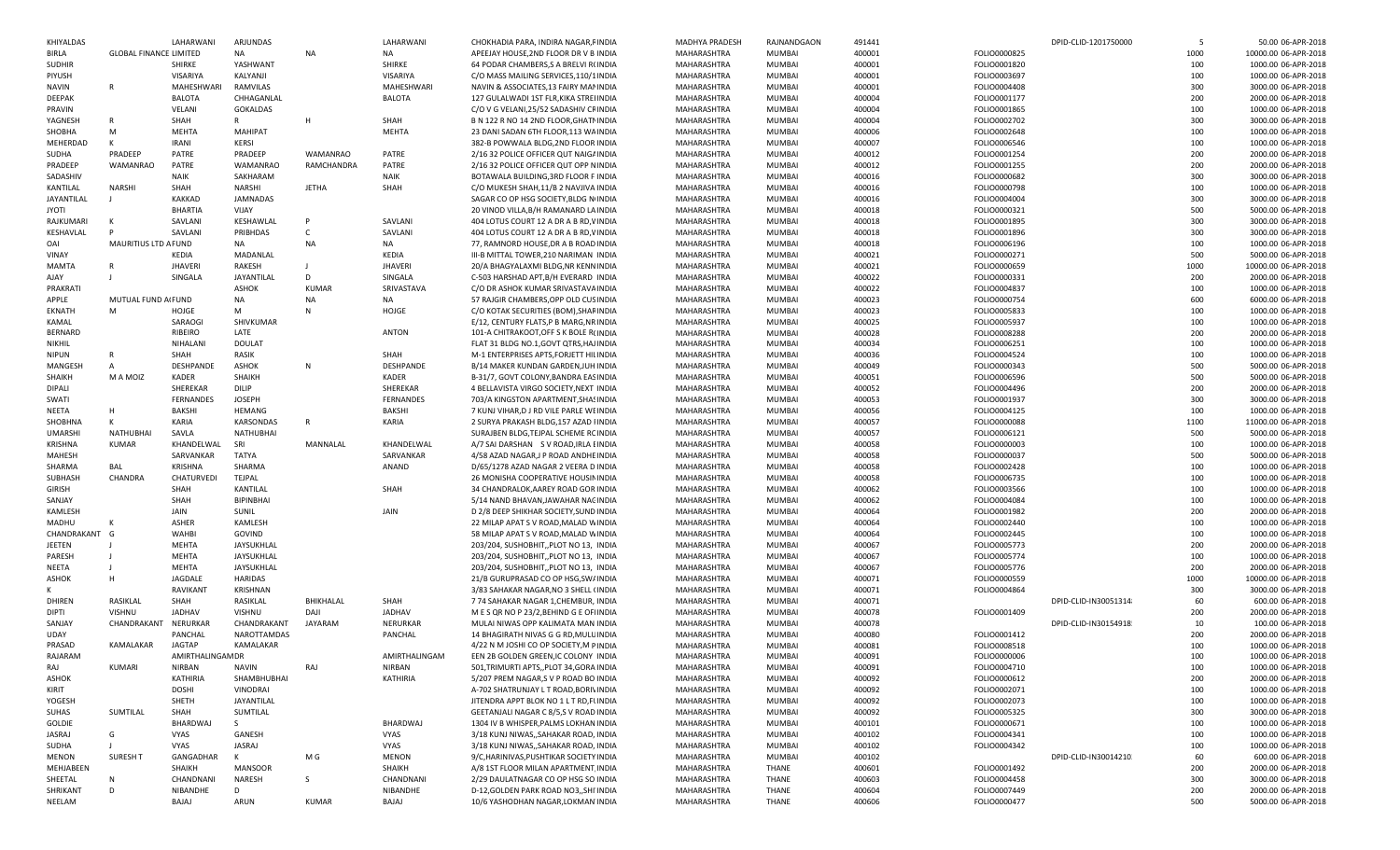| KHIYALDAS         |                               | LAHARWANI        | ARJUNDAS         |                 | LAHARWANI      | CHOKHADIA PARA, INDIRA NAGAR, FINDIA      | MADHYA PRADESH | RAJNANDGAON   | 491441 |              | DPID-CLID-1201750000  | - 5  | 50.00 06-APR-2018    |
|-------------------|-------------------------------|------------------|------------------|-----------------|----------------|-------------------------------------------|----------------|---------------|--------|--------------|-----------------------|------|----------------------|
| <b>BIRLA</b>      | <b>GLOBAL FINANCE LIMITED</b> |                  | NA               | <b>NA</b>       | NA             | APEEJAY HOUSE, 2ND FLOOR DR V B INDIA     | MAHARASHTRA    | <b>MUMBAI</b> | 400001 | FOLIO0000825 |                       | 1000 | 10000.00 06-APR-2018 |
| <b>SUDHIR</b>     |                               | <b>SHIRKE</b>    | YASHWANT         |                 | SHIRKE         | 64 PODAR CHAMBERS, S A BRELVI R(INDIA     | MAHARASHTRA    | <b>MUMBAI</b> | 400001 | FOLIO0001820 |                       | 100  | 1000.00 06-APR-2018  |
|                   |                               |                  |                  |                 |                |                                           |                |               |        |              |                       |      |                      |
| PIYUSH            |                               | VISARIYA         | KALYANJI         |                 | VISARIYA       | C/O MASS MAILING SERVICES, 110/1 INDIA    | MAHARASHTRA    | <b>MUMBAI</b> | 400001 | FOLIO0003697 |                       | 100  | 1000.00 06-APR-2018  |
| <b>NAVIN</b>      | $\mathsf{R}$                  | MAHESHWARI       | RAMVILAS         |                 | MAHESHWARI     | NAVIN & ASSOCIATES, 13 FAIRY MANINDIA     | MAHARASHTRA    | MUMBAI        | 400001 | FOLIO0004408 |                       | 300  | 3000.00 06-APR-2018  |
| <b>DEEPAK</b>     |                               | <b>BALOTA</b>    | CHHAGANLAL       |                 | <b>BALOTA</b>  | 127 GULALWADI 1ST FLR, KIKA STREI INDIA   | MAHARASHTRA    | <b>MUMBAI</b> | 400004 | FOLIO0001177 |                       | 200  | 2000.00 06-APR-2018  |
| PRAVIN            |                               | VELANI           | GOKALDAS         |                 |                | C/O V G VELANI, 25/52 SADASHIV CRINDIA    | MAHARASHTRA    | <b>MUMBAI</b> | 400004 | FOLIO0001865 |                       | 100  | 1000.00 06-APR-2018  |
|                   |                               |                  | $\mathsf{R}$     |                 |                |                                           |                |               |        |              |                       |      |                      |
| YAGNESH           | $\mathsf{R}$                  | SHAH             |                  | H               | SHAH           | B N 122 R NO 14 2ND FLOOR.GHATI INDIA     | MAHARASHTRA    | <b>MUMBAI</b> | 400004 | FOLIO0002702 |                       | 300  | 3000.00 06-APR-2018  |
| SHOBHA            | M                             | MEHTA            | MAHIPAT          |                 | MEHTA          | 23 DANI SADAN 6TH FLOOR, 113 WAINDIA      | MAHARASHTRA    | <b>MUMBAI</b> | 400006 | FOLIO0002648 |                       | 100  | 1000.00 06-APR-2018  |
| MEHERDAD          | K                             | <b>IRANI</b>     | KERSI            |                 |                | 382-B POWWALA BLDG, 2ND FLOOR INDIA       | MAHARASHTRA    | <b>MUMBAI</b> | 400007 | FOLIO0006546 |                       | 100  | 1000.00 06-APR-2018  |
| SUDHA             | PRADEEP                       | PATRE            | PRADEEP          | <b>WAMANRAO</b> | PATRE          | 2/16 32 POLICE OFFICER QUT NAIGAINDIA     | MAHARASHTRA    | MUMBAI        | 400012 | FOLIO0001254 |                       | 200  | 2000.00 06-APR-2018  |
|                   | WAMANRAO                      | PATRE            | <b>WAMANRAO</b>  |                 | PATRE          | 2/16 32 POLICE OFFICER QUT OPP NINDIA     | MAHARASHTRA    | <b>MUMBAI</b> |        |              |                       | 200  |                      |
| PRADEEP           |                               |                  |                  | RAMCHANDRA      |                |                                           |                |               | 400012 | FOLIO0001255 |                       |      | 2000.00 06-APR-2018  |
| SADASHIV          |                               | <b>NAIK</b>      | SAKHARAM         |                 | NAIK           | BOTAWALA BUILDING, 3RD FLOOR F INDIA      | MAHARASHTRA    | MUMBAI        | 400016 | FOLIO0000682 |                       | 300  | 3000.00 06-APR-2018  |
| KANTILAL          | <b>NARSHI</b>                 | SHAH             | <b>NARSHI</b>    | <b>JETHA</b>    | SHAH           | C/O MUKESH SHAH, 11/B 2 NAVJIVA INDIA     | MAHARASHTRA    | MUMBAI        | 400016 | FOLIO0000798 |                       | 100  | 1000.00 06-APR-2018  |
| <b>JAYANTILAL</b> |                               | <b>KAKKAD</b>    | <b>JAMNADAS</b>  |                 |                | SAGAR CO OP HSG SOCIETY, BLDG N INDIA     | MAHARASHTRA    | <b>MUMBAI</b> | 400016 | FOLIO0004004 |                       | 300  | 3000.00 06-APR-2018  |
| <b>JYOTI</b>      |                               | <b>BHARTIA</b>   | VIJAY            |                 |                | 20 VINOD VILLA, B/H RAMANARD LA INDIA     | MAHARASHTRA    | MUMBAI        | 400018 | FOLIO0000321 |                       | 500  | 5000.00 06-APR-2018  |
|                   |                               |                  |                  |                 |                |                                           |                |               |        |              |                       |      |                      |
| RAJKUMARI         |                               | SAVLANI          | KESHAWLAL        |                 | SAVLANI        | 404 LOTUS COURT 12 A DR A B RD, VINDIA    | MAHARASHTRA    | <b>MUMBAI</b> | 400018 | FOLIO0001895 |                       | 300  | 3000.00 06-APR-2018  |
| KESHAVLAL         |                               | SAVLANI          | PRIBHDAS         | $\mathsf{C}$    | SAVLANI        | 404 LOTUS COURT 12 A DR A B RD, VINDIA    | MAHARASHTRA    | <b>MUMBAI</b> | 400018 | FOLIO0001896 |                       | 300  | 3000.00 06-APR-2018  |
| OAI               | MAURITIUS LTD A FUND          |                  | NA               | <b>NA</b>       | NA             | 77, RAMNORD HOUSE, DR A B ROAD INDIA      | MAHARASHTRA    | MUMBAI        | 400018 | FOLIO0006196 |                       | 100  | 1000.00 06-APR-2018  |
| VINAY             |                               | KEDIA            | MADANLAL         |                 | KEDIA          | III-B MITTAL TOWER, 210 NARIMAN INDIA     | MAHARASHTRA    | <b>MUMBAI</b> | 400021 | FOLIO0000271 |                       | 500  | 5000.00 06-APR-2018  |
|                   | $\mathsf{R}$                  |                  |                  |                 |                |                                           |                |               |        |              |                       |      |                      |
| <b>MAMTA</b>      |                               | <b>JHAVERI</b>   | RAKESH           |                 | <b>JHAVERI</b> | 20/A BHAGYALAXMI BLDG, NR KENN INDIA      | MAHARASHTRA    | <b>MUMBAI</b> | 400021 | FOLIO0000659 |                       | 1000 | 10000.00 06-APR-2018 |
| AJAY              |                               | SINGALA          | JAYANTILAL       | D               | SINGALA        | C-503 HARSHAD APT, B/H EVERARD INDIA      | MAHARASHTRA    | MUMBAI        | 400022 | FOLIO0000331 |                       | 200  | 2000.00 06-APR-2018  |
| PRAKRATI          |                               |                  | ASHOK            | <b>KUMAR</b>    | SRIVASTAVA     | C/O DR ASHOK KUMAR SRIVASTAVA INDIA       | MAHARASHTRA    | <b>MUMBAI</b> | 400022 | FOLIO0004837 |                       | 100  | 1000.00 06-APR-2018  |
| APPLE             | MUTUAL FUND AIFUND            |                  | NA               | <b>NA</b>       | <b>NA</b>      | 57 RAJGIR CHAMBERS, OPP OLD CUS INDIA     | MAHARASHTRA    | <b>MUMBAI</b> | 400023 | FOLIO0000754 |                       | 600  | 6000.00 06-APR-2018  |
|                   |                               |                  | M                |                 |                |                                           | MAHARASHTRA    |               |        |              |                       |      |                      |
| <b>EKNATH</b>     | М                             | HOJGE            |                  | N               | HOJGE          | C/O KOTAK SECURITIES (BOM), SHAF INDIA    |                | MUMBAI        | 400023 | FOLIO0005833 |                       | 100  | 1000.00 06-APR-2018  |
| KAMAL             |                               | SARAOGI          | SHIVKUMAR        |                 |                | E/12, CENTURY FLATS, P B MARG, NR INDIA   | MAHARASHTRA    | <b>MUMBAI</b> | 400025 | FOLIO0005937 |                       | 100  | 1000.00 06-APR-2018  |
| <b>BERNARD</b>    |                               | RIBEIRO          | LATE             |                 | <b>ANTON</b>   | 101-A CHITRAKOOT, OFF S K BOLE R(INDIA    | MAHARASHTRA    | MUMBAI        | 400028 | FOLIO0008288 |                       | 200  | 2000.00 06-APR-2018  |
| NIKHIL            |                               | NIHALANI         | <b>DOULAT</b>    |                 |                | FLAT 31 BLDG NO.1, GOVT QTRS, HAJ INDIA   | MAHARASHTRA    | <b>MUMBAI</b> | 400034 | FOLIO0006251 |                       | 100  | 1000.00 06-APR-2018  |
|                   |                               | SHAH             | RASIK            |                 | SHAH           | M-1 ENTERPRISES APTS, FORJETT HILINDIA    | MAHARASHTRA    | <b>MUMBAI</b> | 400036 | FOLIO0004524 |                       | 100  | 1000.00 06-APR-2018  |
| <b>NIPUN</b>      |                               |                  |                  |                 |                |                                           |                |               |        |              |                       |      |                      |
| MANGESH           | $\overline{A}$                | DESHPANDE        | ASHOK            | N               | DESHPANDE      | B/14 MAKER KUNDAN GARDEN, JUH INDIA       | MAHARASHTRA    | MUMBAI        | 400049 | FOLIO0000343 |                       | 500  | 5000.00 06-APR-2018  |
| SHAIKH            | M A MOIZ                      | <b>KADER</b>     | SHAIKH           |                 | <b>KADER</b>   | B-31/7, GOVT COLONY, BANDRA EASINDIA      | MAHARASHTRA    | <b>MUMBAI</b> | 400051 | FOLIO0006596 |                       | 500  | 5000.00 06-APR-2018  |
| DIPALI            |                               | SHEREKAR         | <b>DILIP</b>     |                 | SHEREKAR       | 4 BELLAVISTA VIRGO SOCIETY, NEXT INDIA    | MAHARASHTRA    | <b>MUMBAI</b> | 400052 | FOLIO0004496 |                       | 200  | 2000.00 06-APR-2018  |
| SWATI             |                               | FERNANDES        | <b>JOSEPH</b>    |                 | FERNANDES      | 703/A KINGSTON APARTMENT, SHAS INDIA      | MAHARASHTRA    | MUMBAI        | 400053 | FOLIO0001937 |                       | 300  | 3000.00 06-APR-2018  |
|                   |                               |                  |                  |                 |                |                                           |                |               |        |              |                       |      |                      |
| NEETA             | н                             | <b>BAKSHI</b>    | <b>HEMANG</b>    |                 | <b>BAKSHI</b>  | 7 KUNJ VIHAR, D J RD VILE PARLE WEINDIA   | MAHARASHTRA    | <b>MUMBAI</b> | 400056 | FOLIO0004125 |                       | 100  | 1000.00 06-APR-2018  |
| SHOBHNA           | K                             | KARIA            | KARSONDAS        | $\mathsf{R}$    | KARIA          | 2 SURYA PRAKASH BLDG.157 AZAD I INDIA     | MAHARASHTRA    | <b>MUMBAI</b> | 400057 | FOLIO0000088 |                       | 1100 | 11000.00 06-APR-2018 |
| <b>UMARSHI</b>    | NATHUBHAI                     | SAVLA            | <b>NATHUBHAI</b> |                 |                | SURAJBEN BLDG, TEJPAL SCHEME RC INDIA     | MAHARASHTRA    | MUMBAI        | 400057 | FOLIO0006121 |                       | 500  | 5000.00 06-APR-2018  |
| KRISHNA           | <b>KUMAR</b>                  | KHANDELWAL       | SRI              | MANNALAL        | KHANDELWAL     | A/7 SAI DARSHAN S V ROAD, IRLA EINDIA     | MAHARASHTRA    | <b>MUMBAI</b> | 400058 | FOLIO0000003 |                       | 100  | 1000.00 06-APR-2018  |
|                   |                               |                  |                  |                 |                |                                           |                |               |        |              |                       |      |                      |
| MAHESH            |                               | SARVANKAR        | <b>TATYA</b>     |                 | SARVANKAR      | 4/58 AZAD NAGAR, J P ROAD ANDHE INDIA     | MAHARASHTRA    | MUMBAI        | 400058 | FOLIO0000037 |                       | 500  | 5000.00 06-APR-2018  |
| SHARMA            | BAL                           | KRISHNA          | SHARMA           |                 | ANAND          | D/65/1278 AZAD NAGAR 2 VEERA D INDIA      | MAHARASHTRA    | MUMBAI        | 400058 | FOLIO0002428 |                       | 100  | 1000.00 06-APR-2018  |
| SUBHASH           | CHANDRA                       | CHATURVEDI       | TEJPAL           |                 |                | 26 MONISHA COOPERATIVE HOUSIN INDIA       | MAHARASHTRA    | <b>MUMBAI</b> | 400058 | FOLIO0006735 |                       | 100  | 1000.00 06-APR-2018  |
| <b>GIRISH</b>     |                               | SHAH             | KANTILAL         |                 | <b>SHAH</b>    | 34 CHANDRALOK, AAREY ROAD GOR INDIA       | MAHARASHTRA    | MUMBAI        | 400062 | FOLIO0003566 |                       | 100  | 1000.00 06-APR-2018  |
|                   |                               |                  |                  |                 |                |                                           |                |               |        |              |                       |      |                      |
| SANJAY            |                               | SHAH             | <b>BIPINBHAI</b> |                 |                | 5/14 NAND BHAVAN, JAWAHAR NACINDIA        | MAHARASHTRA    | MUMBAI        | 400062 | FOLIO0004084 |                       | 100  | 1000.00 06-APR-2018  |
| KAMLESH           |                               | JAIN             | SUNIL            |                 | JAIN           | D 2/8 DEEP SHIKHAR SOCIETY, SUND INDIA    | MAHARASHTRA    | <b>MUMBAI</b> | 400064 | FOLIO0001982 |                       | 200  | 2000.00 06-APR-2018  |
| MADHU             |                               | ASHER            | KAMLESH          |                 |                | 22 MILAP APAT S V ROAD, MALAD WINDIA      | MAHARASHTRA    | MUMBAI        | 400064 | FOLIO0002440 |                       | 100  | 1000.00 06-APR-2018  |
| CHANDRAKANT G     |                               | WAHBI            | GOVIND           |                 |                | 58 MILAP APAT S V ROAD, MALAD WINDIA      | MAHARASHTRA    | MUMBAI        | 400064 | FOLIO0002445 |                       | 100  | 1000.00 06-APR-2018  |
| JEETEN            |                               | MEHTA            | JAYSUKHLAL       |                 |                |                                           | MAHARASHTRA    | <b>MUMBAI</b> | 400067 | FOLIO0005773 |                       | 200  | 2000.00 06-APR-2018  |
|                   |                               |                  |                  |                 |                | 203/204, SUSHOBHIT, PLOT NO 13, INDIA     |                |               |        |              |                       |      |                      |
| PARESH            |                               | MEHTA            | JAYSUKHLAL       |                 |                | 203/204, SUSHOBHIT, PLOT NO 13, INDIA     | MAHARASHTRA    | MUMBAI        | 400067 | FOLIO0005774 |                       | 100  | 1000.00 06-APR-2018  |
| NEETA             |                               | MEHTA            | JAYSUKHLAL       |                 |                | 203/204, SUSHOBHIT, PLOT NO 13, INDIA     | MAHARASHTRA    | MUMBAI        | 400067 | FOLIO0005776 |                       | 200  | 2000.00 06-APR-2018  |
| ASHOK             | H                             | JAGDALE          | HARIDAS          |                 |                | 21/B GURUPRASAD CO OP HSG, SWINDIA        | MAHARASHTRA    | <b>MUMBAI</b> | 400071 | FOLIO0000559 |                       | 1000 | 10000.00 06-APR-2018 |
|                   |                               | RAVIKANT         | KRISHNAN         |                 |                | 3/83 SAHAKAR NAGAR.NO 3 SHELL (INDIA      | MAHARASHTRA    | MUMBAI        | 400071 | FOLIO0004864 |                       | 300  | 3000.00 06-APR-2018  |
|                   |                               |                  |                  |                 |                |                                           |                |               |        |              |                       |      |                      |
| DHIREN            | RASIKLAL                      | SHAH             | RASIKLAL         | BHIKHALAL       | SHAH           | 774 SAHAKAR NAGAR 1, CHEMBUR, INDIA       | MAHARASHTRA    | <b>MUMBAI</b> | 400071 |              | DPID-CLID-IN30051314  | 60   | 600.00 06-APR-2018   |
| DIPTI             | VISHNU                        | <b>JADHAV</b>    | VISHNU           | DAJI            | <b>JADHAV</b>  | M E S QR NO P 23/2, BEHIND G E OFIINDIA   | MAHARASHTRA    | <b>MUMBAI</b> | 400078 | FOLIO0001409 |                       | 200  | 2000.00 06-APR-2018  |
| SANJAY            | CHANDRAKANT                   | NERURKAR         | CHANDRAKANT      | JAYARAM         | NERURKAR       | MULAI NIWAS OPP KALIMATA MAN INDIA        | MAHARASHTRA    | <b>MUMBAI</b> | 400078 |              | DPID-CLID-IN30154918! | 10   | 100.00 06-APR-2018   |
| <b>UDAY</b>       |                               | PANCHAL          | NAROTTAMDAS      |                 | PANCHAL        | 14 BHAGIRATH NIVAS G G RD, MULUINDIA      | MAHARASHTRA    | <b>MUMBAI</b> | 400080 | FOLIO0001412 |                       | 200  | 2000.00 06-APR-2018  |
|                   |                               | <b>JAGTAP</b>    |                  |                 |                |                                           |                |               |        |              |                       | 100  |                      |
| PRASAD            | KAMALAKAR                     |                  | KAMALAKAR        |                 |                | 4/22 N M JOSHI CO OP SOCIETY, M PINDIA    | MAHARASHTRA    | <b>MUMBAI</b> | 400081 | FOLIO0008518 |                       |      | 1000.00 06-APR-2018  |
| RAJARAM           |                               | AMIRTHALINGAM DR |                  |                 | AMIRTHALINGAM  | EEN 2B GOLDEN GREEN, IC COLONY INDIA      | MAHARASHTRA    | <b>MUMBAI</b> | 400091 | FOLIO0000006 |                       | 100  | 1000.00 06-APR-2018  |
| RAJ               | KUMARI                        | <b>NIRBAN</b>    | <b>NAVIN</b>     | RAJ             | NIRBAN         | 501, TRIMURTI APTS, , PLOT 34, GORA INDIA | MAHARASHTRA    | <b>MUMBAI</b> | 400091 | FOLIO0004710 |                       | 100  | 1000.00 06-APR-2018  |
| <b>ASHOK</b>      |                               | KATHIRIA         | SHAMBHUBHAI      |                 | KATHIRIA       | 5/207 PREM NAGAR.S V P ROAD BO INDIA      | MAHARASHTRA    | <b>MUMBAI</b> | 400092 | FOLIO0000612 |                       | 200  | 2000.00 06-APR-2018  |
|                   |                               |                  |                  |                 |                |                                           |                |               |        |              |                       |      |                      |
| KIRIT             |                               | <b>DOSHI</b>     | VINODRAI         |                 |                | A-702 SHATRUNJAY L T ROAD, BORIN INDIA    | MAHARASHTRA    | <b>MUMBAI</b> | 400092 | FOLIO0002071 |                       | 100  | 1000.00 06-APR-2018  |
| YOGESH            |                               | SHETH            | JAYANTILAL       |                 |                | JITENDRA APPT BLOK NO 1 L T RD, FLINDIA   | MAHARASHTRA    | <b>MUMBAI</b> | 400092 | FOLIO0002073 |                       | 100  | 1000.00 06-APR-2018  |
| SUHAS             | SUMTILAL                      | SHAH             | SUMTILAL         |                 |                | GEETANJALI NAGAR C 8/5.S V ROAD INDIA     | MAHARASHTRA    | MUMBAI        | 400092 | FOLIO0005325 |                       | 300  | 3000.00 06-APR-2018  |
| <b>GOLDIE</b>     |                               | BHARDWAJ         | S.               |                 | BHARDWAJ       | 1304 IV B WHISPER, PALMS LOKHAN INDIA     | MAHARASHTRA    | <b>MUMBAI</b> | 400101 | FOLIO0000671 |                       | 100  | 1000.00 06-APR-2018  |
|                   |                               |                  |                  |                 | VYAS           |                                           |                |               |        |              |                       |      | 1000.00 06-APR-2018  |
| JASRAJ            | G                             | VYAS             | GANESH           |                 |                | 3/18 KUNJ NIWAS,, SAHAKAR ROAD, INDIA     | MAHARASHTRA    | MUMBAI        | 400102 | FOLIO0004341 |                       | 100  |                      |
| SUDHA             |                               | VYAS             | JASRAJ           |                 | VYAS           | 3/18 KUNJ NIWAS,, SAHAKAR ROAD, INDIA     | MAHARASHTRA    | MUMBAI        | 400102 | FOLIO0004342 |                       | 100  | 1000.00 06-APR-2018  |
| <b>MENON</b>      | <b>SURESH T</b>               | GANGADHAR        | K                | M G             | <b>MENON</b>   | 9/C, HARINIVAS, PUSHTIKAR SOCIETY INDIA   | MAHARASHTRA    | <b>MUMBAI</b> | 400102 |              | DPID-CLID-IN30014210  | 60   | 600.00 06-APR-2018   |
| MEHJABEEN         |                               | SHAIKH           | <b>MANSOOR</b>   |                 | SHAIKH         | A/8 1ST FLOOR MILAN APARTMENT INDIA       | MAHARASHTRA    | THANE         | 400601 | FOLIO0001492 |                       | 200  | 2000.00 06-APR-2018  |
| SHEETAL           | N                             | CHANDNANI        | NARESH           | -S              | CHANDNANI      | 2/29 DAULATNAGAR CO OP HSG SO INDIA       | MAHARASHTRA    | <b>THANE</b>  | 400603 | FOLIO0004458 |                       | 300  | 3000.00 06-APR-2018  |
|                   |                               |                  |                  |                 |                |                                           |                |               |        |              |                       |      |                      |
| SHRIKANT          | D                             | NIBANDHE         | D                |                 | NIBANDHE       | D-12, GOLDEN PARK ROAD NO3,, SHI INDIA    | MAHARASHTRA    | <b>THANE</b>  | 400604 | FOLIO0007449 |                       | 200  | 2000.00 06-APR-2018  |
| NEELAM            |                               | BAJAJ            | ARUN             | <b>KUMAR</b>    | BAJAJ          | 10/6 YASHODHAN NAGAR, LOKMAN INDIA        | MAHARASHTRA    | THANE         | 400606 | FOLIO0000477 |                       | 500  | 5000.00 06-APR-2018  |